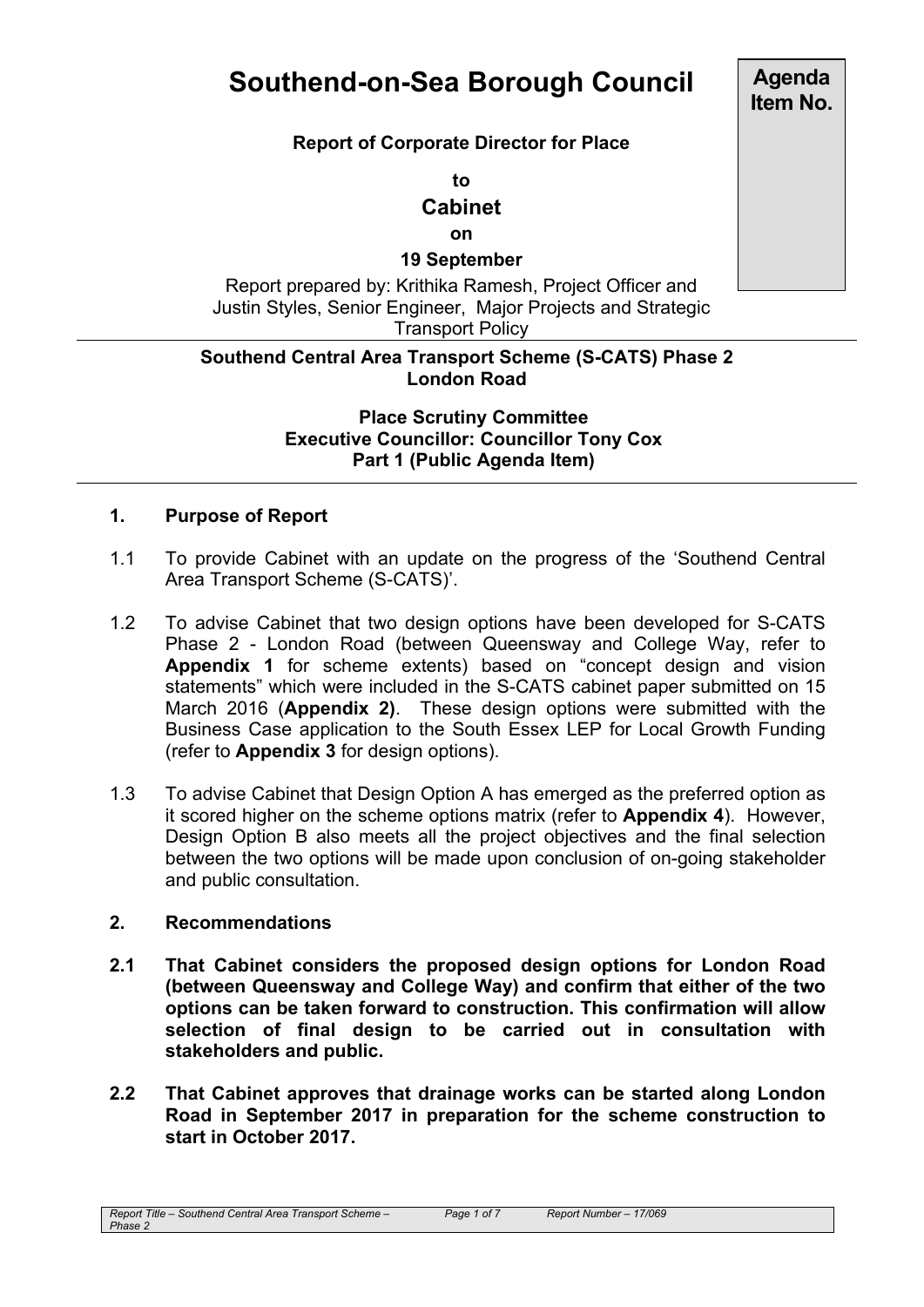# **Southend-on-Sea Borough Council**

# **Report of Corporate Director for Place**

**to**

**Cabinet**

**on**

**19 September**

Report prepared by: Krithika Ramesh, Project Officer and Justin Styles, Senior Engineer, Major Projects and Strategic Transport Policy

# **Southend Central Area Transport Scheme (S-CATS) Phase 2 London Road**

## **Place Scrutiny Committee Executive Councillor: Councillor Tony Cox Part 1 (Public Agenda Item)**

## **1. Purpose of Report**

- 1.1 To provide Cabinet with an update on the progress of the 'Southend Central Area Transport Scheme (S-CATS)'.
- 1.2 To advise Cabinet that two design options have been developed for S-CATS Phase 2 - London Road (between Queensway and College Way, refer to **Appendix 1** for scheme extents) based on "concept design and vision statements" which were included in the S-CATS cabinet paper submitted on 15 March 2016 (**Appendix 2)**. These design options were submitted with the Business Case application to the South Essex LEP for Local Growth Funding (refer to **Appendix 3** for design options).
- 1.3 To advise Cabinet that Design Option A has emerged as the preferred option as it scored higher on the scheme options matrix (refer to **Appendix 4**). However, Design Option B also meets all the project objectives and the final selection between the two options will be made upon conclusion of on-going stakeholder and public consultation.

## **2. Recommendations**

- **2.1 That Cabinet considers the proposed design options for London Road (between Queensway and College Way) and confirm that either of the two options can be taken forward to construction. This confirmation will allow selection of final design to be carried out in consultation with stakeholders and public.**
- **2.2 That Cabinet approves that drainage works can be started along London Road in September 2017 in preparation for the scheme construction to start in October 2017.**

**Agenda Item No.**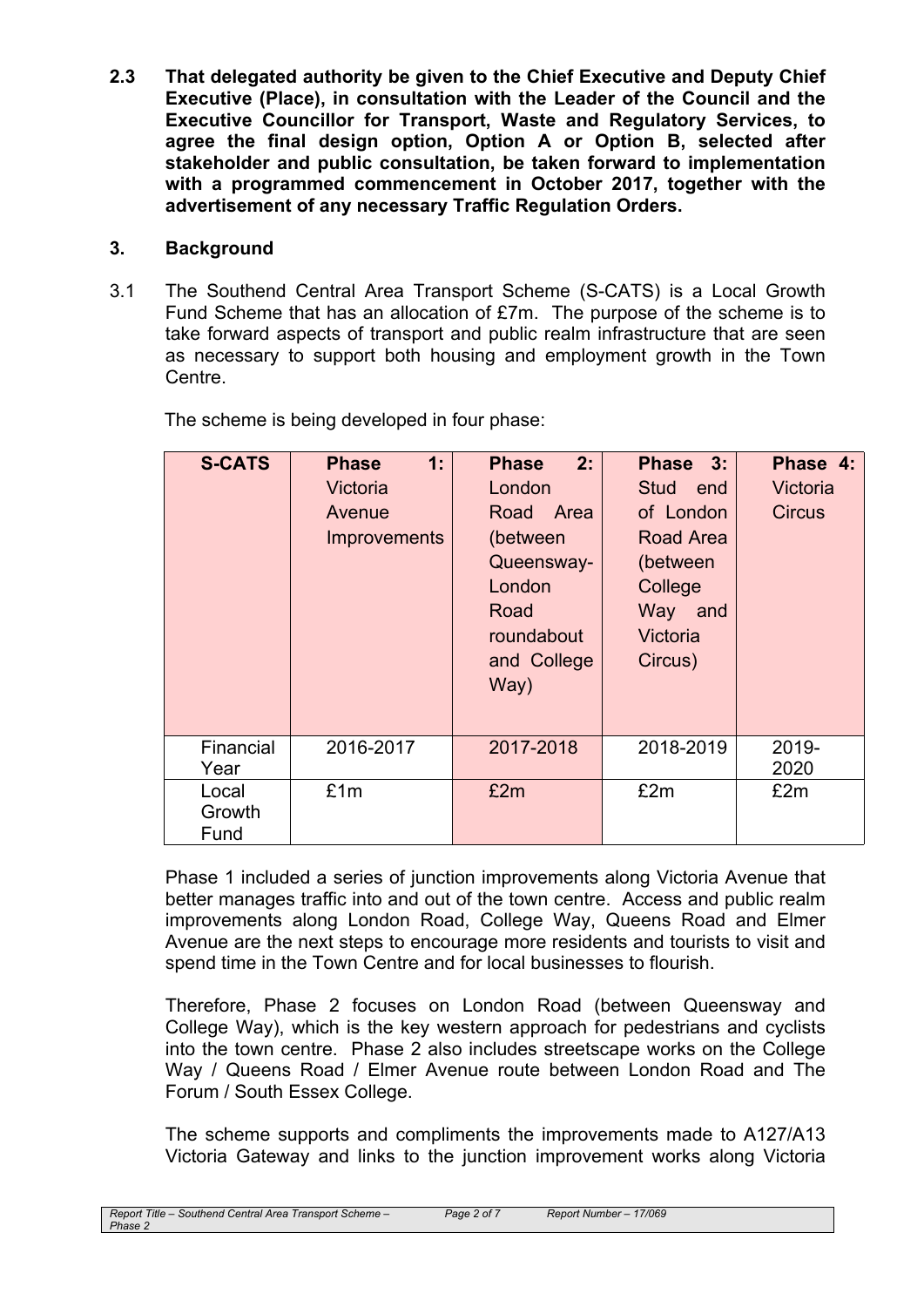**2.3 That delegated authority be given to the Chief Executive and Deputy Chief Executive (Place), in consultation with the Leader of the Council and the Executive Councillor for Transport, Waste and Regulatory Services, to agree the final design option, Option A or Option B, selected after stakeholder and public consultation, be taken forward to implementation with a programmed commencement in October 2017, together with the advertisement of any necessary Traffic Regulation Orders.**

# **3. Background**

3.1 The Southend Central Area Transport Scheme (S-CATS) is a Local Growth Fund Scheme that has an allocation of £7m. The purpose of the scheme is to take forward aspects of transport and public realm infrastructure that are seen as necessary to support both housing and employment growth in the Town Centre.

| <b>S-CATS</b>           | 1:<br><b>Phase</b><br>Victoria<br>Avenue<br><b>Improvements</b> | 2:<br><b>Phase</b><br>London<br>Road Area<br>(between<br>Queensway-<br>London<br>Road<br>roundabout<br>and College<br>Way) | Phase 3:<br>Stud end<br>of London<br>Road Area<br>(between<br>College<br>Way<br>and<br>Victoria<br>Circus) | Phase 4:<br>Victoria<br><b>Circus</b> |
|-------------------------|-----------------------------------------------------------------|----------------------------------------------------------------------------------------------------------------------------|------------------------------------------------------------------------------------------------------------|---------------------------------------|
| Financial<br>Year       | 2016-2017                                                       | 2017-2018                                                                                                                  | 2018-2019                                                                                                  | 2019-<br>2020                         |
| Local<br>Growth<br>Fund | £1m                                                             | £2m                                                                                                                        | £2m                                                                                                        | £2m                                   |

The scheme is being developed in four phase:

Phase 1 included a series of junction improvements along Victoria Avenue that better manages traffic into and out of the town centre. Access and public realm improvements along London Road, College Way, Queens Road and Elmer Avenue are the next steps to encourage more residents and tourists to visit and spend time in the Town Centre and for local businesses to flourish.

Therefore, Phase 2 focuses on London Road (between Queensway and College Way), which is the key western approach for pedestrians and cyclists into the town centre. Phase 2 also includes streetscape works on the College Way / Queens Road / Elmer Avenue route between London Road and The Forum / South Essex College.

The scheme supports and compliments the improvements made to A127/A13 Victoria Gateway and links to the junction improvement works along Victoria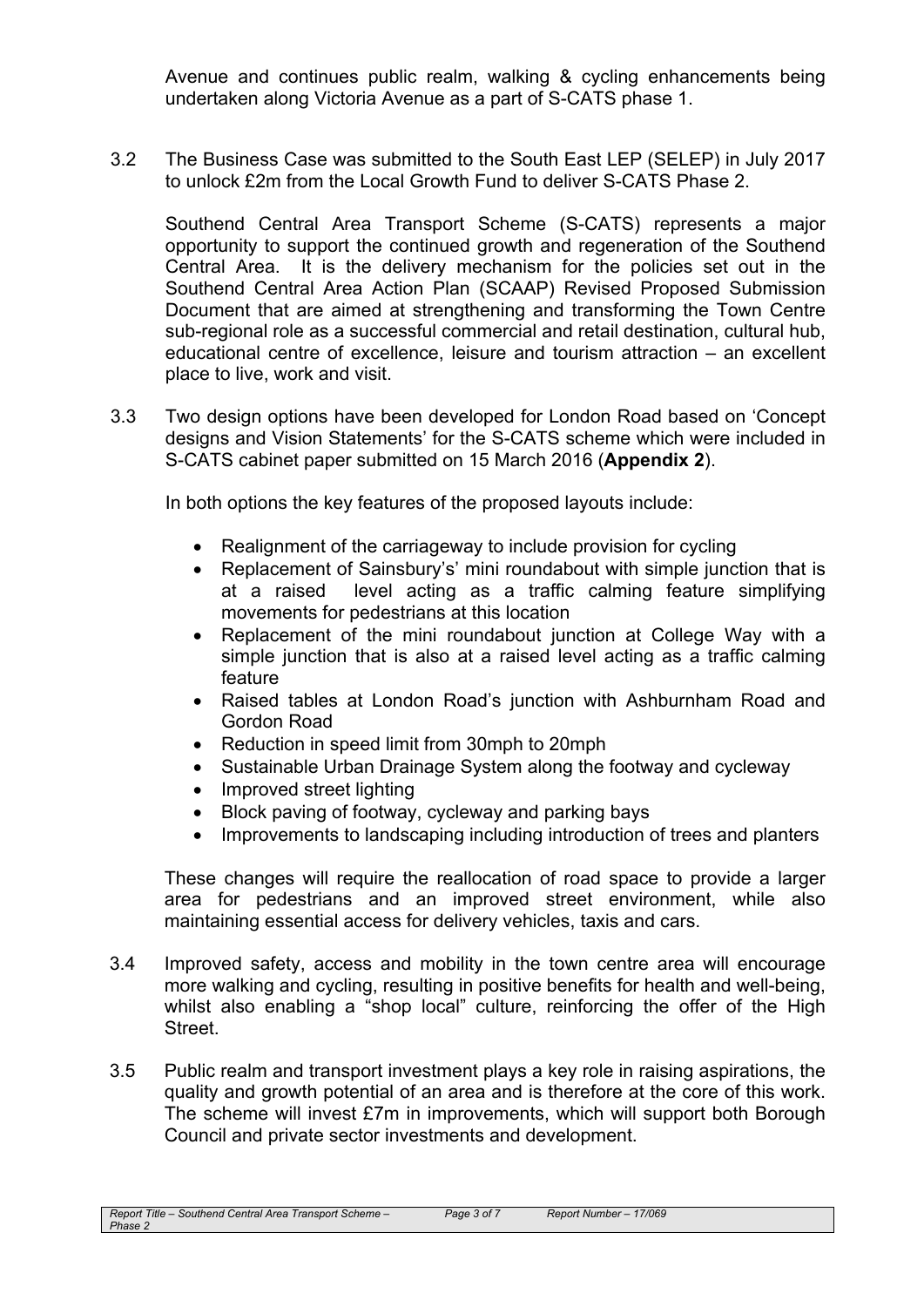Avenue and continues public realm, walking & cycling enhancements being undertaken along Victoria Avenue as a part of S-CATS phase 1.

3.2 The Business Case was submitted to the South East LEP (SELEP) in July 2017 to unlock £2m from the Local Growth Fund to deliver S-CATS Phase 2.

Southend Central Area Transport Scheme (S-CATS) represents a major opportunity to support the continued growth and regeneration of the Southend Central Area. It is the delivery mechanism for the policies set out in the Southend Central Area Action Plan (SCAAP) Revised Proposed Submission Document that are aimed at strengthening and transforming the Town Centre sub-regional role as a successful commercial and retail destination, cultural hub, educational centre of excellence, leisure and tourism attraction – an excellent place to live, work and visit.

3.3 Two design options have been developed for London Road based on 'Concept designs and Vision Statements' for the S-CATS scheme which were included in S-CATS cabinet paper submitted on 15 March 2016 (**Appendix 2**).

In both options the key features of the proposed layouts include:

- Realignment of the carriageway to include provision for cycling
- Replacement of Sainsbury's' mini roundabout with simple junction that is at a raised level acting as a traffic calming feature simplifying movements for pedestrians at this location
- Replacement of the mini roundabout junction at College Way with a simple junction that is also at a raised level acting as a traffic calming feature
- Raised tables at London Road's junction with Ashburnham Road and Gordon Road
- Reduction in speed limit from 30mph to 20mph
- Sustainable Urban Drainage System along the footway and cycleway
- Improved street lighting
- Block paving of footway, cycleway and parking bays
- Improvements to landscaping including introduction of trees and planters

These changes will require the reallocation of road space to provide a larger area for pedestrians and an improved street environment, while also maintaining essential access for delivery vehicles, taxis and cars.

- 3.4 Improved safety, access and mobility in the town centre area will encourage more walking and cycling, resulting in positive benefits for health and well-being, whilst also enabling a "shop local" culture, reinforcing the offer of the High Street.
- 3.5 Public realm and transport investment plays a key role in raising aspirations, the quality and growth potential of an area and is therefore at the core of this work. The scheme will invest £7m in improvements, which will support both Borough Council and private sector investments and development.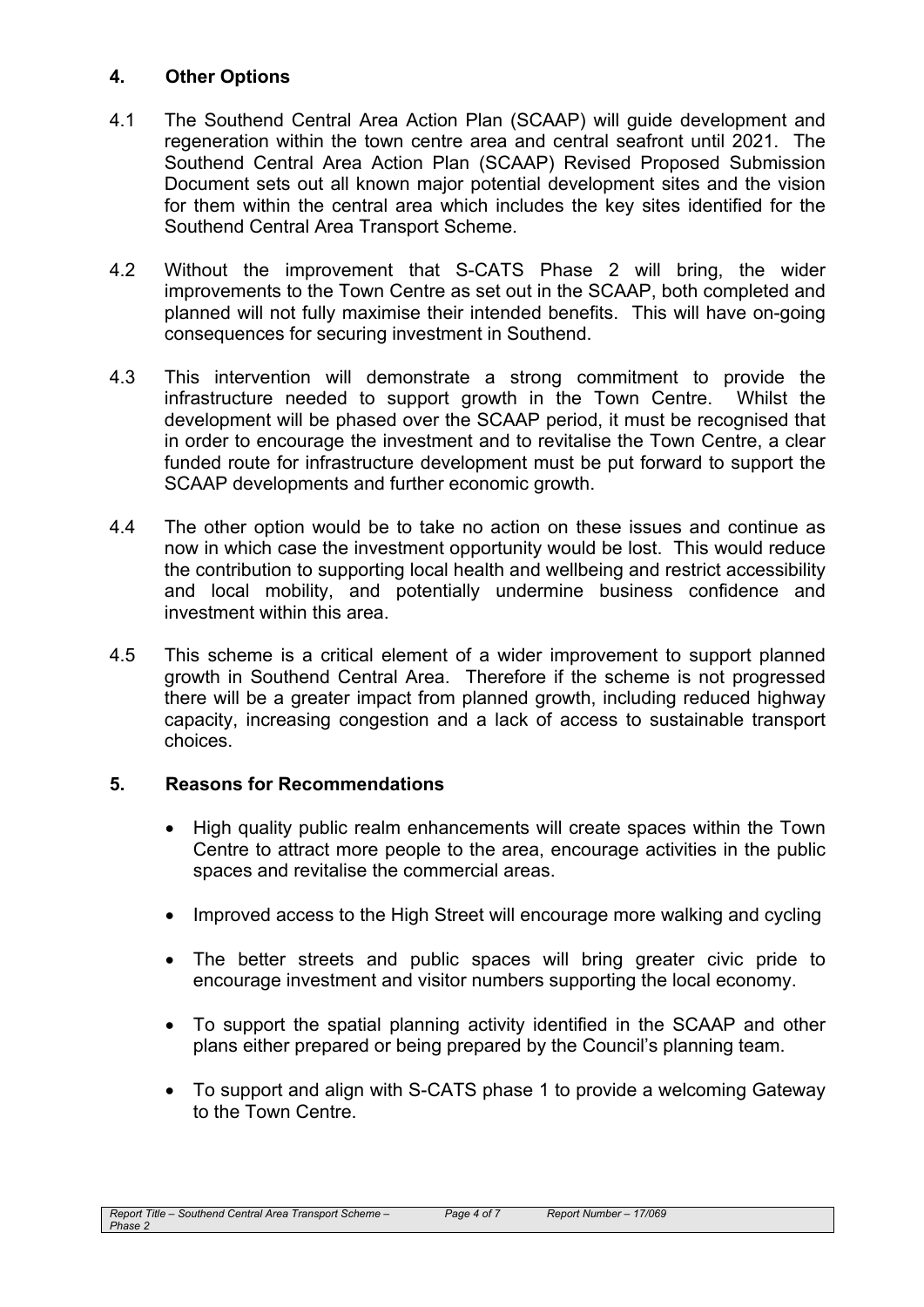# **4. Other Options**

- 4.1 The Southend Central Area Action Plan (SCAAP) will guide development and regeneration within the town centre area and central seafront until 2021. The Southend Central Area Action Plan (SCAAP) Revised Proposed Submission Document sets out all known major potential development sites and the vision for them within the central area which includes the key sites identified for the Southend Central Area Transport Scheme.
- 4.2 Without the improvement that S-CATS Phase 2 will bring, the wider improvements to the Town Centre as set out in the SCAAP, both completed and planned will not fully maximise their intended benefits. This will have on-going consequences for securing investment in Southend.
- 4.3 This intervention will demonstrate a strong commitment to provide the infrastructure needed to support growth in the Town Centre. Whilst the development will be phased over the SCAAP period, it must be recognised that in order to encourage the investment and to revitalise the Town Centre, a clear funded route for infrastructure development must be put forward to support the SCAAP developments and further economic growth.
- 4.4 The other option would be to take no action on these issues and continue as now in which case the investment opportunity would be lost. This would reduce the contribution to supporting local health and wellbeing and restrict accessibility and local mobility, and potentially undermine business confidence and investment within this area.
- 4.5 This scheme is a critical element of a wider improvement to support planned growth in Southend Central Area. Therefore if the scheme is not progressed there will be a greater impact from planned growth, including reduced highway capacity, increasing congestion and a lack of access to sustainable transport choices.

# **5. Reasons for Recommendations**

- High quality public realm enhancements will create spaces within the Town Centre to attract more people to the area, encourage activities in the public spaces and revitalise the commercial areas.
- Improved access to the High Street will encourage more walking and cycling
- The better streets and public spaces will bring greater civic pride to encourage investment and visitor numbers supporting the local economy.
- To support the spatial planning activity identified in the SCAAP and other plans either prepared or being prepared by the Council's planning team.
- To support and align with S-CATS phase 1 to provide a welcoming Gateway to the Town Centre.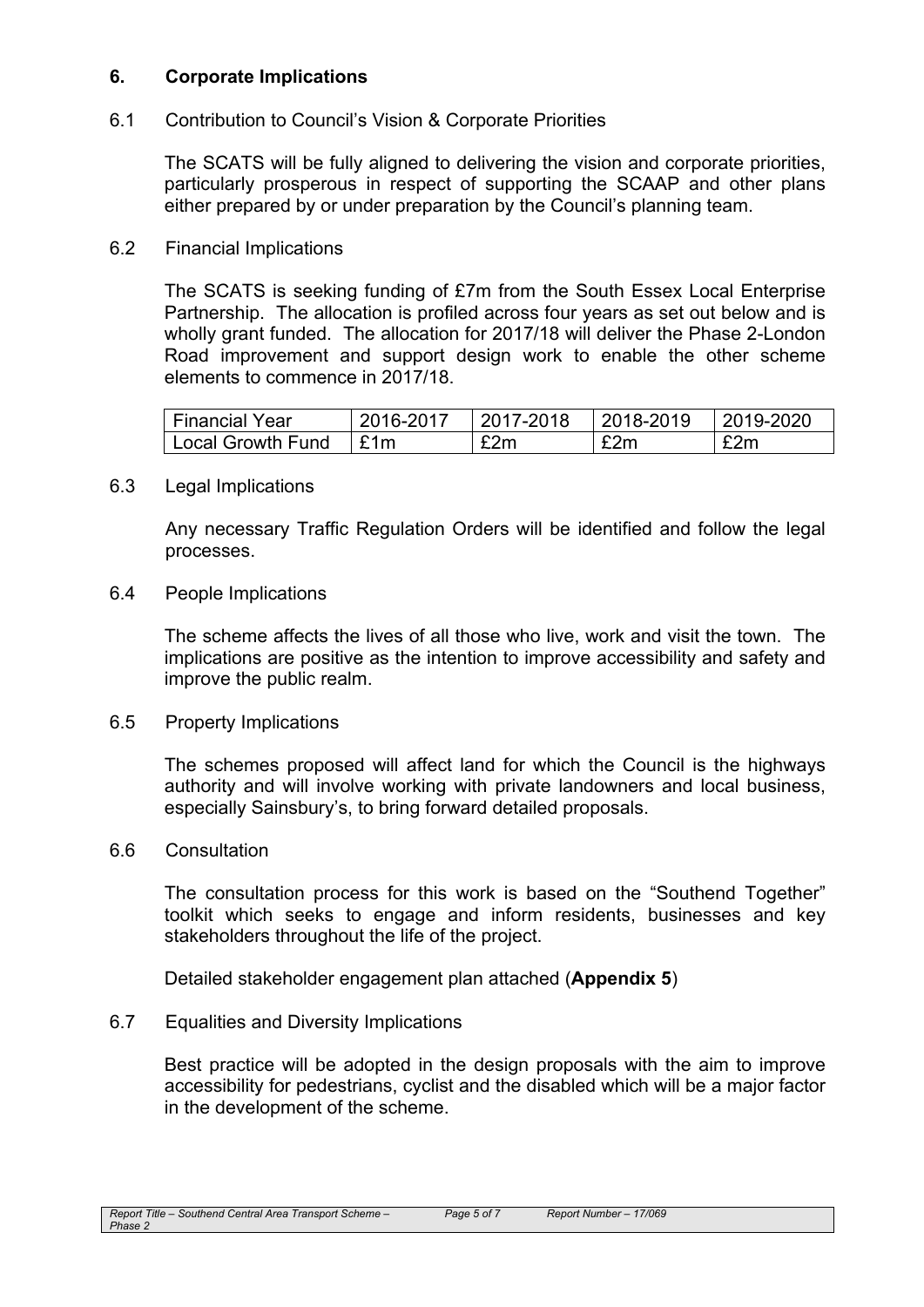# **6. Corporate Implications**

# 6.1 Contribution to Council's Vision & Corporate Priorities

The SCATS will be fully aligned to delivering the vision and corporate priorities, particularly prosperous in respect of supporting the SCAAP and other plans either prepared by or under preparation by the Council's planning team.

# 6.2 Financial Implications

The SCATS is seeking funding of £7m from the South Essex Local Enterprise Partnership. The allocation is profiled across four years as set out below and is wholly grant funded. The allocation for 2017/18 will deliver the Phase 2-London Road improvement and support design work to enable the other scheme elements to commence in 2017/18.

| <b>Financial Year</b>    | 2016-2017 | 2017-2018 | 2018-2019 | ⊺2019-2020 |
|--------------------------|-----------|-----------|-----------|------------|
| <b>Local Growth Fund</b> | £1m       | £2m       | £2m       | £2m        |

#### 6.3 Legal Implications

Any necessary Traffic Regulation Orders will be identified and follow the legal processes.

## 6.4 People Implications

The scheme affects the lives of all those who live, work and visit the town. The implications are positive as the intention to improve accessibility and safety and improve the public realm.

## 6.5 Property Implications

The schemes proposed will affect land for which the Council is the highways authority and will involve working with private landowners and local business, especially Sainsbury's, to bring forward detailed proposals.

## 6.6 Consultation

The consultation process for this work is based on the "Southend Together" toolkit which seeks to engage and inform residents, businesses and key stakeholders throughout the life of the project.

Detailed stakeholder engagement plan attached (**Appendix 5**)

## 6.7 Equalities and Diversity Implications

Best practice will be adopted in the design proposals with the aim to improve accessibility for pedestrians, cyclist and the disabled which will be a major factor in the development of the scheme.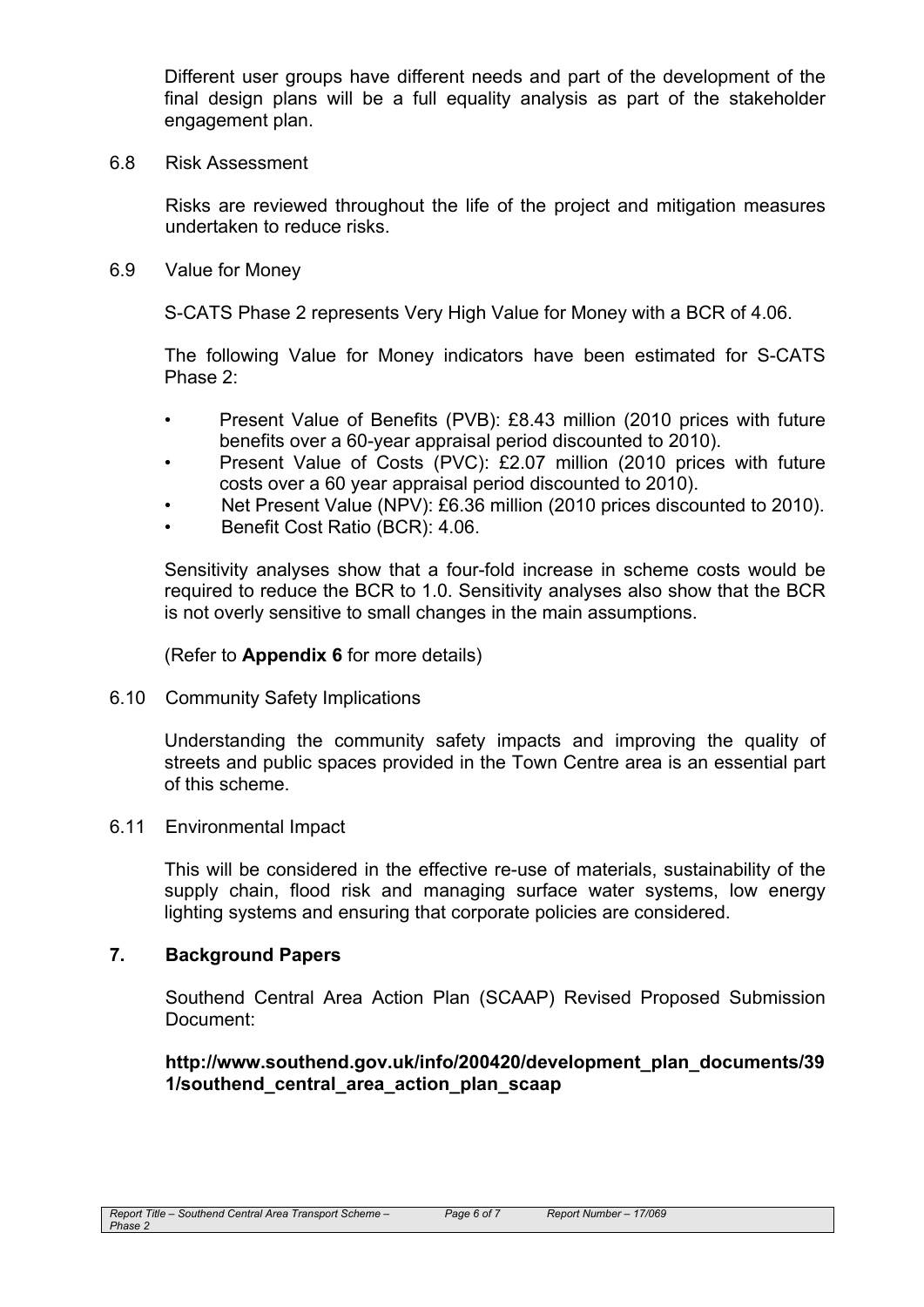Different user groups have different needs and part of the development of the final design plans will be a full equality analysis as part of the stakeholder engagement plan.

6.8 Risk Assessment

Risks are reviewed throughout the life of the project and mitigation measures undertaken to reduce risks.

6.9 Value for Money

S-CATS Phase 2 represents Very High Value for Money with a BCR of 4.06.

The following Value for Money indicators have been estimated for S-CATS Phase 2:

- Present Value of Benefits (PVB): £8.43 million (2010 prices with future benefits over a 60-year appraisal period discounted to 2010).
- Present Value of Costs (PVC): £2.07 million (2010 prices with future costs over a 60 year appraisal period discounted to 2010).
- Net Present Value (NPV): £6.36 million (2010 prices discounted to 2010).
- Benefit Cost Ratio (BCR): 4.06.

Sensitivity analyses show that a four-fold increase in scheme costs would be required to reduce the BCR to 1.0. Sensitivity analyses also show that the BCR is not overly sensitive to small changes in the main assumptions.

(Refer to **Appendix 6** for more details)

6.10 Community Safety Implications

Understanding the community safety impacts and improving the quality of streets and public spaces provided in the Town Centre area is an essential part of this scheme.

6.11 Environmental Impact

This will be considered in the effective re-use of materials, sustainability of the supply chain, flood risk and managing surface water systems, low energy lighting systems and ensuring that corporate policies are considered.

## **7. Background Papers**

Southend Central Area Action Plan (SCAAP) Revised Proposed Submission Document:

**http://www.southend.gov.uk/info/200420/development\_plan\_documents/39 1/southend\_central\_area\_action\_plan\_scaap**